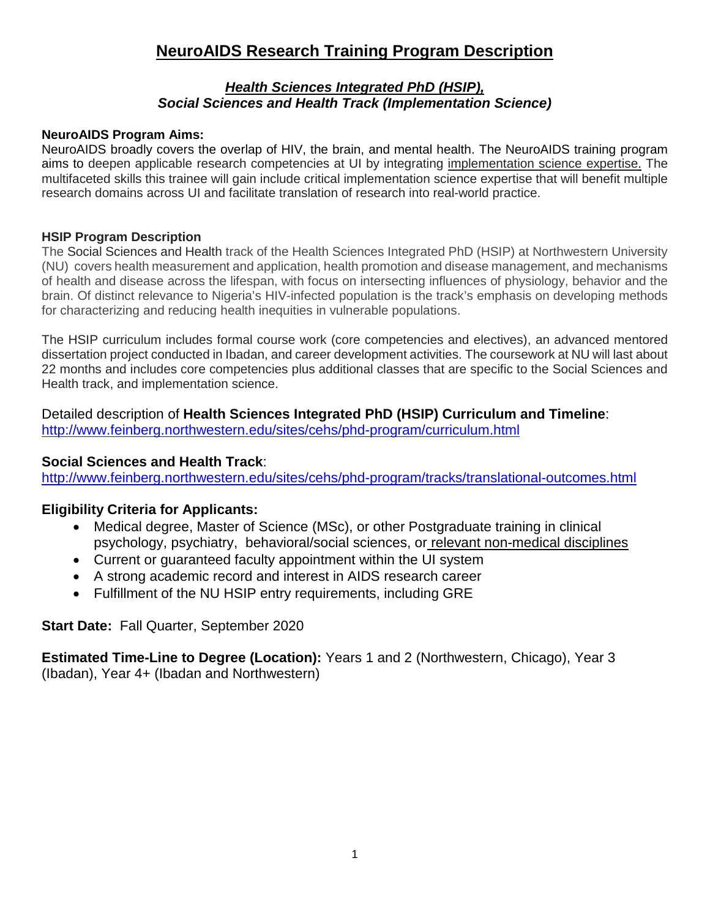# **NeuroAIDS Research Training Program Description**

## *Health Sciences Integrated PhD (HSIP), Social Sciences and Health Track (Implementation Science)*

## **NeuroAIDS Program Aims:**

NeuroAIDS broadly covers the overlap of HIV, the brain, and mental health. The NeuroAIDS training program aims to deepen applicable research competencies at UI by integrating implementation science expertise. The multifaceted skills this trainee will gain include critical implementation science expertise that will benefit multiple research domains across UI and facilitate translation of research into real-world practice.

## **HSIP Program Description**

The Social Sciences and Health track of the Health Sciences Integrated PhD (HSIP) at Northwestern University (NU) covers health measurement and application, health promotion and disease management, and mechanisms of health and disease across the lifespan, with focus on intersecting influences of physiology, behavior and the brain. Of distinct relevance to Nigeria's HIV-infected population is the track's emphasis on developing methods for characterizing and reducing health inequities in vulnerable populations.

The HSIP curriculum includes formal course work (core competencies and electives), an advanced mentored dissertation project conducted in Ibadan, and career development activities. The coursework at NU will last about 22 months and includes core competencies plus additional classes that are specific to the Social Sciences and Health track, and implementation science.

Detailed description of **Health Sciences Integrated PhD (HSIP) Curriculum and Timeline**: <http://www.feinberg.northwestern.edu/sites/cehs/phd-program/curriculum.html>

## **Social Sciences and Health Track**:

<http://www.feinberg.northwestern.edu/sites/cehs/phd-program/tracks/translational-outcomes.html>

## **Eligibility Criteria for Applicants:**

- Medical degree, Master of Science (MSc), or other Postgraduate training in clinical psychology, psychiatry, behavioral/social sciences, or relevant non-medical disciplines
- Current or guaranteed faculty appointment within the UI system
- A strong academic record and interest in AIDS research career
- Fulfillment of the NU HSIP entry requirements, including GRE

**Start Date:** Fall Quarter, September 2020

**Estimated Time-Line to Degree (Location):** Years 1 and 2 (Northwestern, Chicago), Year 3 (Ibadan), Year 4+ (Ibadan and Northwestern)